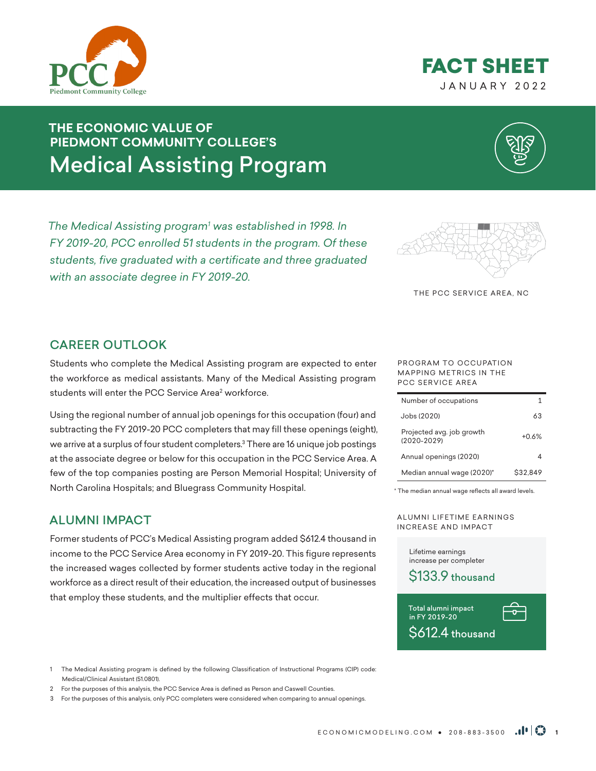



# **THE ECONOMIC VALUE OF PIEDMONT COMMUNITY COLLEGE'S** Medical Assisting Program

*The Medical Assisting program1 was established in 1998. In FY 2019-20, PCC enrolled 51 students in the program. Of these students, five graduated with a certificate and three graduated with an associate degree in FY 2019-20.* 



THE PCC SERVICE AREA, NC

#### CAREER OUTLOOK

Students who complete the Medical Assisting program are expected to enter the workforce as medical assistants. Many of the Medical Assisting program students will enter the PCC Service Area<sup>2</sup> workforce.

Using the regional number of annual job openings for this occupation (four) and subtracting the FY 2019-20 PCC completers that may fill these openings (eight), we arrive at a surplus of four student completers.3 There are 16 unique job postings at the associate degree or below for this occupation in the PCC Service Area. A few of the top companies posting are Person Memorial Hospital; University of North Carolina Hospitals; and Bluegrass Community Hospital.

### ALUMNI IMPACT

Former students of PCC's Medical Assisting program added \$612.4 thousand in income to the PCC Service Area economy in FY 2019-20. This figure represents the increased wages collected by former students active today in the regional workforce as a direct result of their education, the increased output of businesses that employ these students, and the multiplier effects that occur.

PROGRAM TO OCCUPATION MAPPING METRICS IN THE PCC SERVICE AREA

| Number of occupations                        |          |
|----------------------------------------------|----------|
| Jobs (2020)                                  | 63       |
| Projected avg. job growth<br>$(2020 - 2029)$ | $+0.6%$  |
| Annual openings (2020)                       |          |
| Median annual wage (2020)*                   | \$32.849 |

\* The median annual wage reflects all award levels.

ALUMNI LIFETIME EARNINGS INCREASE AND IMPACT

Lifetime earnings increase per completer





1 The Medical Assisting program is defined by the following Classification of Instructional Programs (CIP) code: Medical/Clinical Assistant (51.0801).

2 For the purposes of this analysis, the PCC Service Area is defined as Person and Caswell Counties.

3 For the purposes of this analysis, only PCC completers were considered when comparing to annual openings.